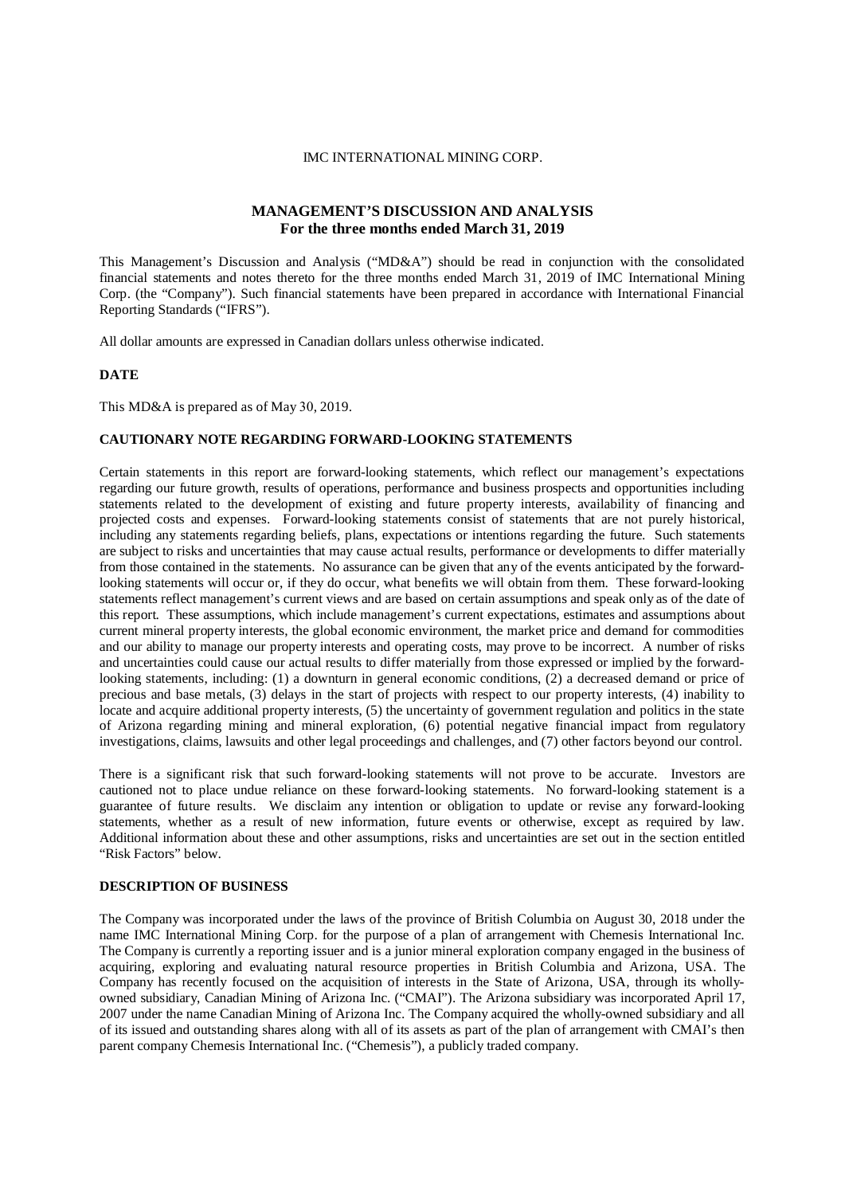#### IMC INTERNATIONAL MINING CORP.

# **MANAGEMENT'S DISCUSSION AND ANALYSIS For the three months ended March 31, 2019**

This Management's Discussion and Analysis ("MD&A") should be read in conjunction with the consolidated financial statements and notes thereto for the three months ended March 31, 2019 of IMC International Mining Corp. (the "Company"). Such financial statements have been prepared in accordance with International Financial Reporting Standards ("IFRS").

All dollar amounts are expressed in Canadian dollars unless otherwise indicated.

#### **DATE**

This MD&A is prepared as of May 30, 2019.

### **CAUTIONARY NOTE REGARDING FORWARD-LOOKING STATEMENTS**

Certain statements in this report are forward-looking statements, which reflect our management's expectations regarding our future growth, results of operations, performance and business prospects and opportunities including statements related to the development of existing and future property interests, availability of financing and projected costs and expenses. Forward-looking statements consist of statements that are not purely historical, including any statements regarding beliefs, plans, expectations or intentions regarding the future. Such statements are subject to risks and uncertainties that may cause actual results, performance or developments to differ materially from those contained in the statements. No assurance can be given that any of the events anticipated by the forwardlooking statements will occur or, if they do occur, what benefits we will obtain from them. These forward-looking statements reflect management's current views and are based on certain assumptions and speak only as of the date of this report. These assumptions, which include management's current expectations, estimates and assumptions about current mineral property interests, the global economic environment, the market price and demand for commodities and our ability to manage our property interests and operating costs, may prove to be incorrect. A number of risks and uncertainties could cause our actual results to differ materially from those expressed or implied by the forwardlooking statements, including: (1) a downturn in general economic conditions, (2) a decreased demand or price of precious and base metals, (3) delays in the start of projects with respect to our property interests, (4) inability to locate and acquire additional property interests, (5) the uncertainty of government regulation and politics in the state of Arizona regarding mining and mineral exploration, (6) potential negative financial impact from regulatory investigations, claims, lawsuits and other legal proceedings and challenges, and (7) other factors beyond our control.

There is a significant risk that such forward-looking statements will not prove to be accurate. Investors are cautioned not to place undue reliance on these forward-looking statements. No forward-looking statement is a guarantee of future results. We disclaim any intention or obligation to update or revise any forward-looking statements, whether as a result of new information, future events or otherwise, except as required by law. Additional information about these and other assumptions, risks and uncertainties are set out in the section entitled "Risk Factors" below.

#### **DESCRIPTION OF BUSINESS**

The Company was incorporated under the laws of the province of British Columbia on August 30, 2018 under the name IMC International Mining Corp. for the purpose of a plan of arrangement with Chemesis International Inc. The Company is currently a reporting issuer and is a junior mineral exploration company engaged in the business of acquiring, exploring and evaluating natural resource properties in British Columbia and Arizona, USA. The Company has recently focused on the acquisition of interests in the State of Arizona, USA, through its whollyowned subsidiary, Canadian Mining of Arizona Inc. ("CMAI"). The Arizona subsidiary was incorporated April 17, 2007 under the name Canadian Mining of Arizona Inc. The Company acquired the wholly-owned subsidiary and all of its issued and outstanding shares along with all of its assets as part of the plan of arrangement with CMAI's then parent company Chemesis International Inc. ("Chemesis"), a publicly traded company.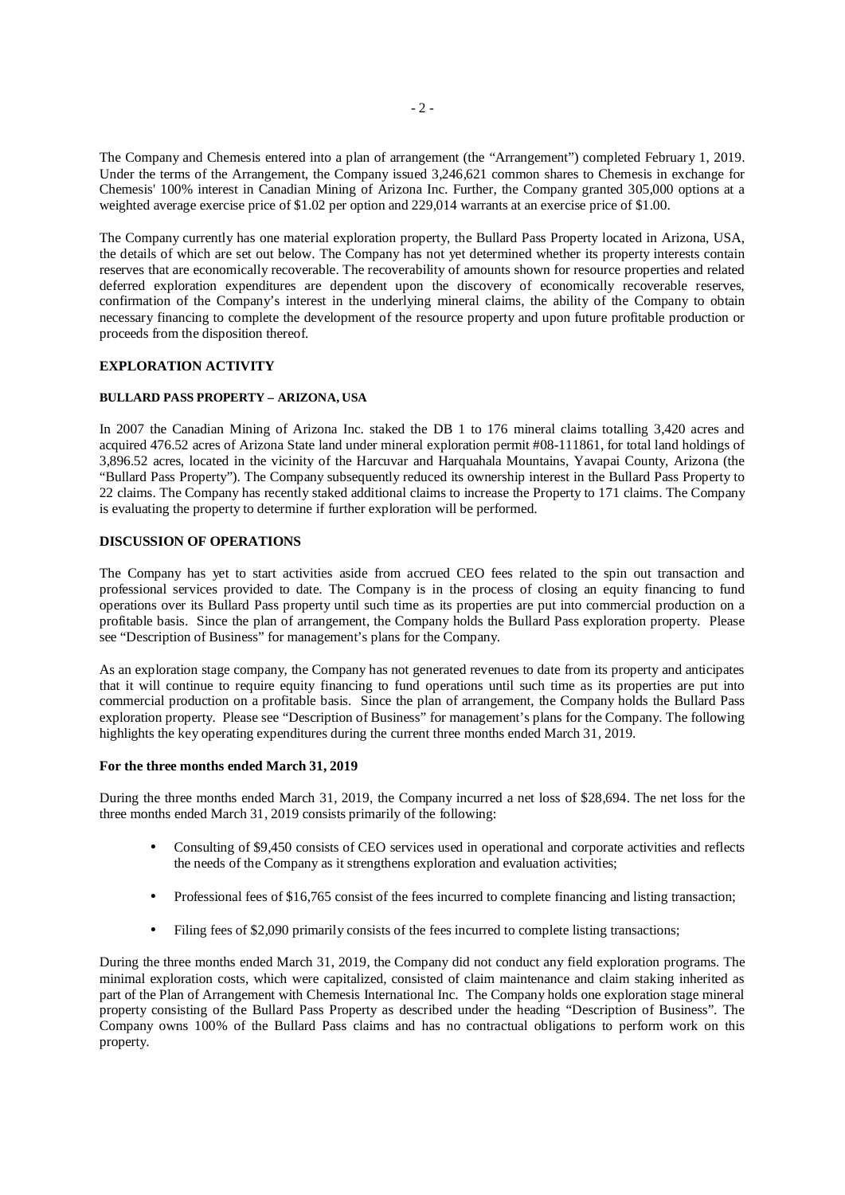The Company and Chemesis entered into a plan of arrangement (the "Arrangement") completed February 1, 2019. Under the terms of the Arrangement, the Company issued 3,246,621 common shares to Chemesis in exchange for Chemesis' 100% interest in Canadian Mining of Arizona Inc. Further, the Company granted 305,000 options at a weighted average exercise price of \$1.02 per option and 229,014 warrants at an exercise price of \$1.00.

The Company currently has one material exploration property, the Bullard Pass Property located in Arizona, USA, the details of which are set out below. The Company has not yet determined whether its property interests contain reserves that are economically recoverable. The recoverability of amounts shown for resource properties and related deferred exploration expenditures are dependent upon the discovery of economically recoverable reserves, confirmation of the Company's interest in the underlying mineral claims, the ability of the Company to obtain necessary financing to complete the development of the resource property and upon future profitable production or proceeds from the disposition thereof.

# **EXPLORATION ACTIVITY**

## **BULLARD PASS PROPERTY – ARIZONA, USA**

In 2007 the Canadian Mining of Arizona Inc. staked the DB 1 to 176 mineral claims totalling 3,420 acres and acquired 476.52 acres of Arizona State land under mineral exploration permit #08-111861, for total land holdings of 3,896.52 acres, located in the vicinity of the Harcuvar and Harquahala Mountains, Yavapai County, Arizona (the "Bullard Pass Property"). The Company subsequently reduced its ownership interest in the Bullard Pass Property to 22 claims. The Company has recently staked additional claims to increase the Property to 171 claims. The Company is evaluating the property to determine if further exploration will be performed.

# **DISCUSSION OF OPERATIONS**

The Company has yet to start activities aside from accrued CEO fees related to the spin out transaction and professional services provided to date. The Company is in the process of closing an equity financing to fund operations over its Bullard Pass property until such time as its properties are put into commercial production on a profitable basis. Since the plan of arrangement, the Company holds the Bullard Pass exploration property. Please see "Description of Business" for management's plans for the Company.

As an exploration stage company, the Company has not generated revenues to date from its property and anticipates that it will continue to require equity financing to fund operations until such time as its properties are put into commercial production on a profitable basis. Since the plan of arrangement, the Company holds the Bullard Pass exploration property. Please see "Description of Business" for management's plans for the Company. The following highlights the key operating expenditures during the current three months ended March 31, 2019.

### **For the three months ended March 31, 2019**

During the three months ended March 31, 2019, the Company incurred a net loss of \$28,694. The net loss for the three months ended March 31, 2019 consists primarily of the following:

- Consulting of \$9,450 consists of CEO services used in operational and corporate activities and reflects  $\mathcal{L}^{\pm}$ the needs of the Company as it strengthens exploration and evaluation activities;
- Professional fees of \$16,765 consist of the fees incurred to complete financing and listing transaction;
- Filing fees of \$2,090 primarily consists of the fees incurred to complete listing transactions;

During the three months ended March 31, 2019, the Company did not conduct any field exploration programs. The minimal exploration costs, which were capitalized, consisted of claim maintenance and claim staking inherited as part of the Plan of Arrangement with Chemesis International Inc. The Company holds one exploration stage mineral property consisting of the Bullard Pass Property as described under the heading "Description of Business". The Company owns 100% of the Bullard Pass claims and has no contractual obligations to perform work on this property.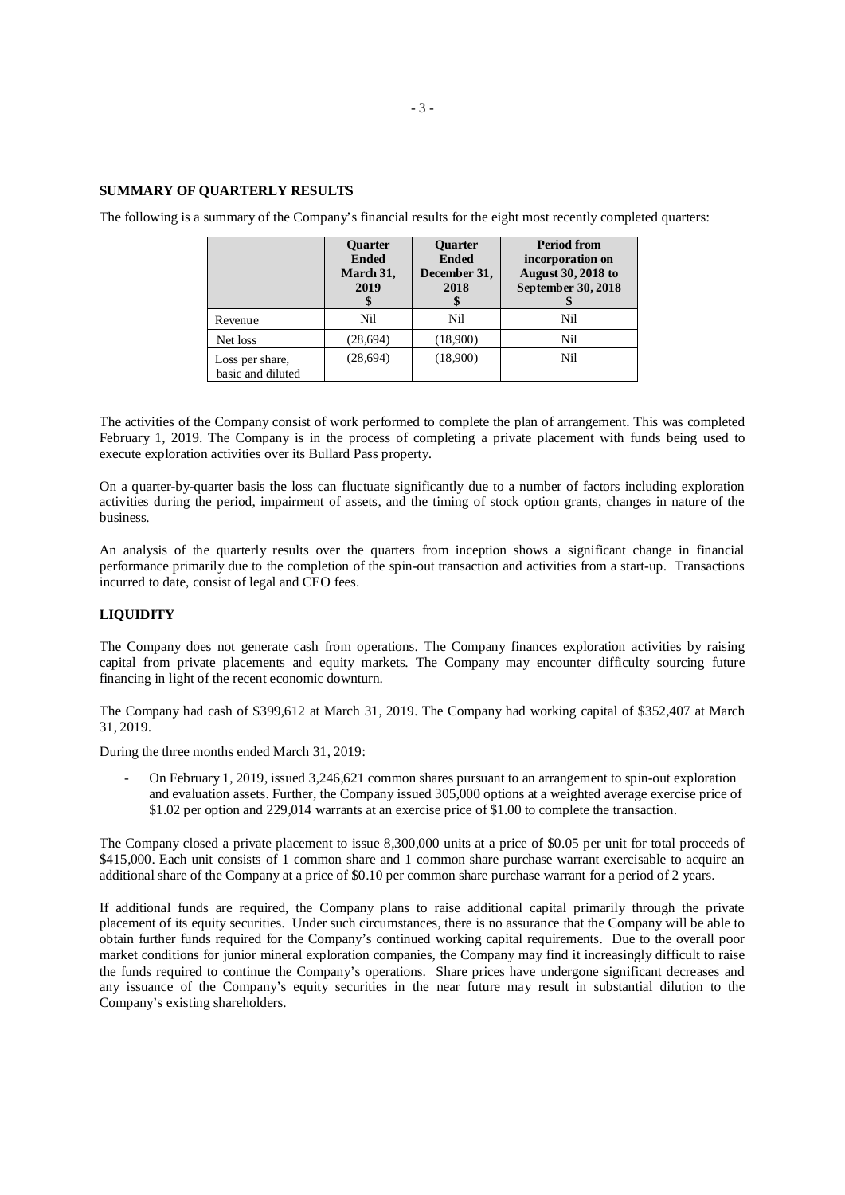### **SUMMARY OF QUARTERLY RESULTS**

|                                      | <b>Ouarter</b><br><b>Ended</b><br>March 31,<br>2019 | <b>Ouarter</b><br><b>Ended</b><br>December 31,<br>2018 | <b>Period from</b><br>incorporation on<br><b>August 30, 2018 to</b><br><b>September 30, 2018</b> |
|--------------------------------------|-----------------------------------------------------|--------------------------------------------------------|--------------------------------------------------------------------------------------------------|
| Revenue                              | Nil                                                 | Nil                                                    | Nil                                                                                              |
| Net loss                             | (28,694)                                            | (18,900)                                               | Nil                                                                                              |
| Loss per share,<br>basic and diluted | (28, 694)                                           | (18,900)                                               | Nil                                                                                              |

The following is a summary of the Company's financial results for the eight most recently completed quarters:

The activities of the Company consist of work performed to complete the plan of arrangement. This was completed February 1, 2019. The Company is in the process of completing a private placement with funds being used to execute exploration activities over its Bullard Pass property.

On a quarter-by-quarter basis the loss can fluctuate significantly due to a number of factors including exploration activities during the period, impairment of assets, and the timing of stock option grants, changes in nature of the business.

An analysis of the quarterly results over the quarters from inception shows a significant change in financial performance primarily due to the completion of the spin-out transaction and activities from a start-up. Transactions incurred to date, consist of legal and CEO fees.

# **LIQUIDITY**

The Company does not generate cash from operations. The Company finances exploration activities by raising capital from private placements and equity markets. The Company may encounter difficulty sourcing future financing in light of the recent economic downturn.

The Company had cash of \$399,612 at March 31, 2019. The Company had working capital of \$352,407 at March 31, 2019.

During the three months ended March 31, 2019:

- On February 1, 2019, issued 3,246,621 common shares pursuant to an arrangement to spin-out exploration and evaluation assets. Further, the Company issued 305,000 options at a weighted average exercise price of \$1.02 per option and 229,014 warrants at an exercise price of \$1.00 to complete the transaction.

The Company closed a private placement to issue 8,300,000 units at a price of \$0.05 per unit for total proceeds of \$415,000. Each unit consists of 1 common share and 1 common share purchase warrant exercisable to acquire an additional share of the Company at a price of \$0.10 per common share purchase warrant for a period of 2 years.

If additional funds are required, the Company plans to raise additional capital primarily through the private placement of its equity securities. Under such circumstances, there is no assurance that the Company will be able to obtain further funds required for the Company's continued working capital requirements. Due to the overall poor market conditions for junior mineral exploration companies, the Company may find it increasingly difficult to raise the funds required to continue the Company's operations. Share prices have undergone significant decreases and any issuance of the Company's equity securities in the near future may result in substantial dilution to the Company's existing shareholders.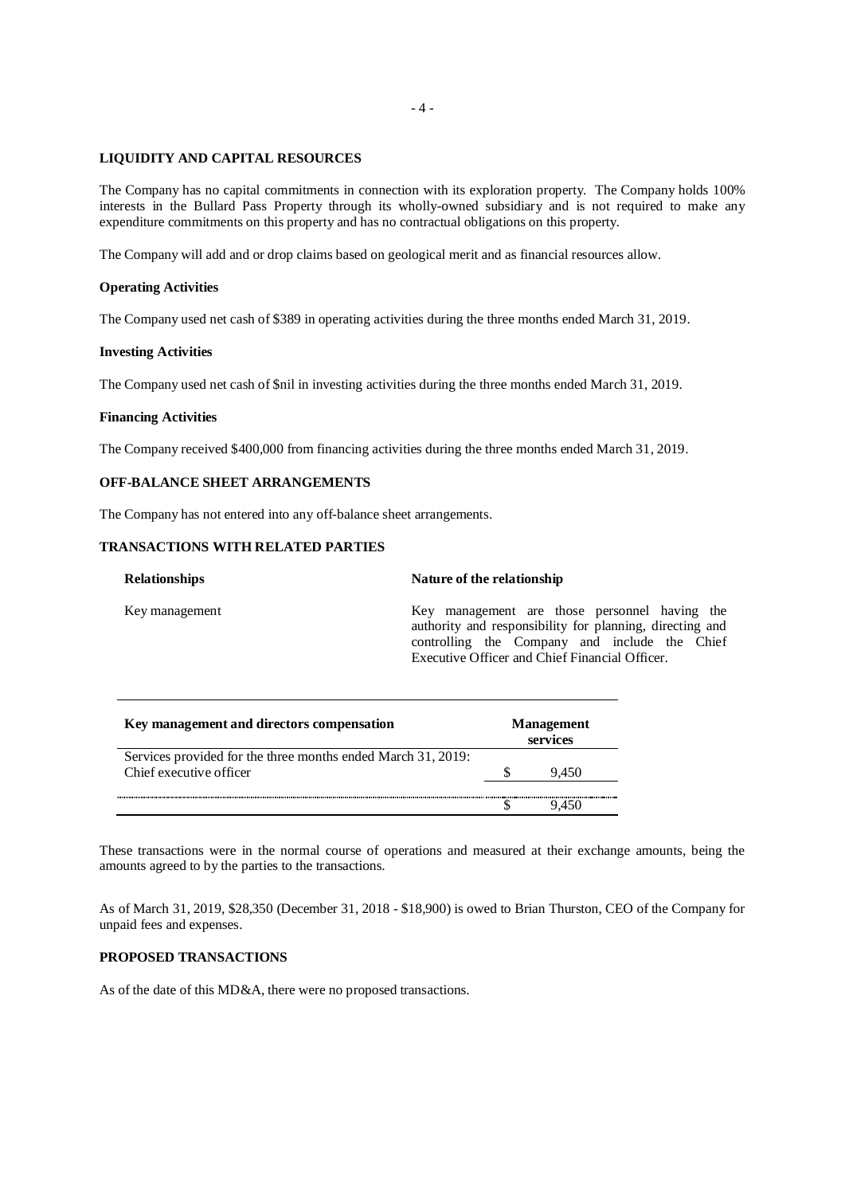# **LIQUIDITY AND CAPITAL RESOURCES**

The Company has no capital commitments in connection with its exploration property. The Company holds 100% interests in the Bullard Pass Property through its wholly-owned subsidiary and is not required to make any expenditure commitments on this property and has no contractual obligations on this property.

The Company will add and or drop claims based on geological merit and as financial resources allow.

### **Operating Activities**

The Company used net cash of \$389 in operating activities during the three months ended March 31, 2019.

### **Investing Activities**

The Company used net cash of \$nil in investing activities during the three months ended March 31, 2019.

#### **Financing Activities**

The Company received \$400,000 from financing activities during the three months ended March 31, 2019.

# **OFF-BALANCE SHEET ARRANGEMENTS**

The Company has not entered into any off-balance sheet arrangements.

# **TRANSACTIONS WITH RELATED PARTIES**

| <b>Relationships</b> | Nature of the relationship                                                                                                                                                                                   |  |  |  |
|----------------------|--------------------------------------------------------------------------------------------------------------------------------------------------------------------------------------------------------------|--|--|--|
| Key management       | Key management are those personnel having the<br>authority and responsibility for planning, directing and<br>controlling the Company and include the Chief<br>Executive Officer and Chief Financial Officer. |  |  |  |
|                      |                                                                                                                                                                                                              |  |  |  |

| Key management and directors compensation                    |  | <b>Management</b><br>services |  |
|--------------------------------------------------------------|--|-------------------------------|--|
| Services provided for the three months ended March 31, 2019: |  |                               |  |
| Chief executive officer                                      |  | 9.450                         |  |
|                                                              |  |                               |  |
|                                                              |  |                               |  |

These transactions were in the normal course of operations and measured at their exchange amounts, being the amounts agreed to by the parties to the transactions.

As of March 31, 2019, \$28,350 (December 31, 2018 - \$18,900) is owed to Brian Thurston, CEO of the Company for unpaid fees and expenses.

# **PROPOSED TRANSACTIONS**

As of the date of this MD&A, there were no proposed transactions.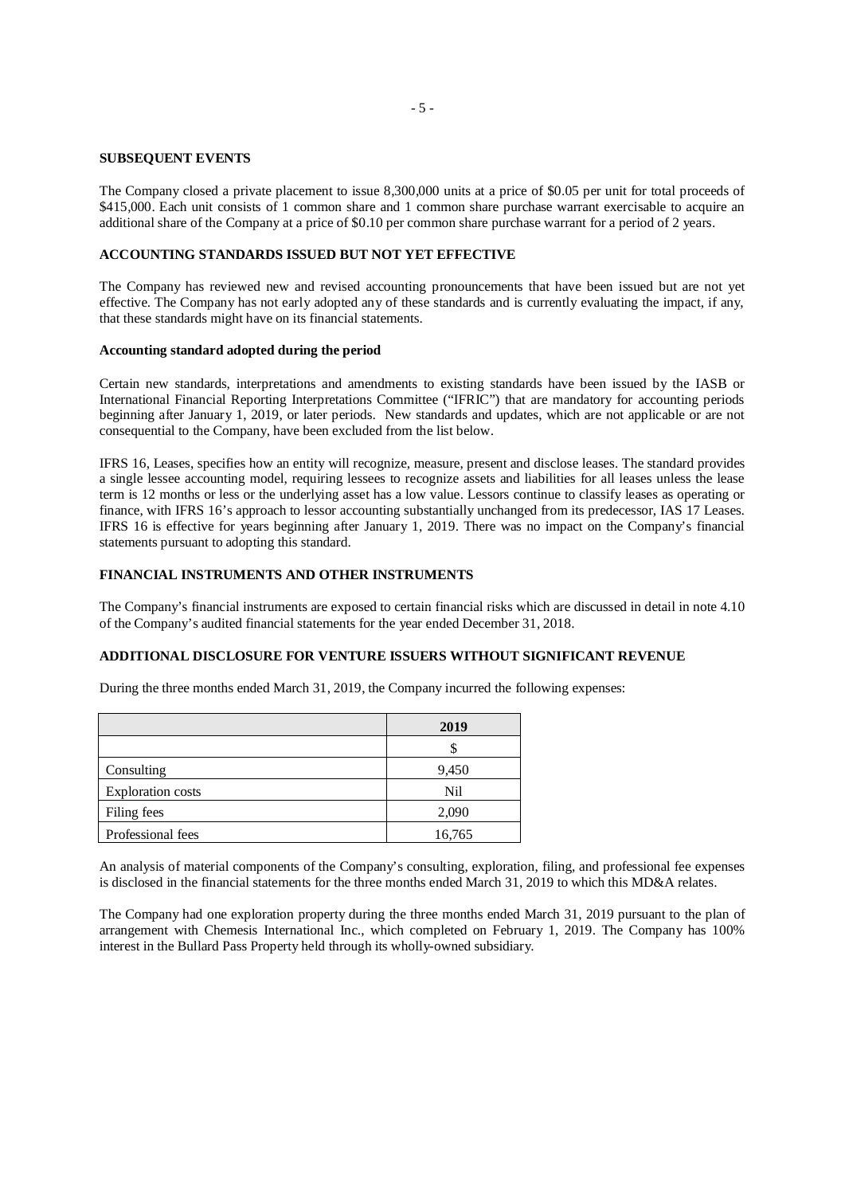#### **SUBSEQUENT EVENTS**

The Company closed a private placement to issue 8,300,000 units at a price of \$0.05 per unit for total proceeds of \$415,000. Each unit consists of 1 common share and 1 common share purchase warrant exercisable to acquire an additional share of the Company at a price of \$0.10 per common share purchase warrant for a period of 2 years.

### **ACCOUNTING STANDARDS ISSUED BUT NOT YET EFFECTIVE**

The Company has reviewed new and revised accounting pronouncements that have been issued but are not yet effective. The Company has not early adopted any of these standards and is currently evaluating the impact, if any, that these standards might have on its financial statements.

### **Accounting standard adopted during the period**

Certain new standards, interpretations and amendments to existing standards have been issued by the IASB or International Financial Reporting Interpretations Committee ("IFRIC") that are mandatory for accounting periods beginning after January 1, 2019, or later periods. New standards and updates, which are not applicable or are not consequential to the Company, have been excluded from the list below.

IFRS 16, Leases, specifies how an entity will recognize, measure, present and disclose leases. The standard provides a single lessee accounting model, requiring lessees to recognize assets and liabilities for all leases unless the lease term is 12 months or less or the underlying asset has a low value. Lessors continue to classify leases as operating or finance, with IFRS 16's approach to lessor accounting substantially unchanged from its predecessor, IAS 17 Leases. IFRS 16 is effective for years beginning after January 1, 2019. There was no impact on the Company's financial statements pursuant to adopting this standard.

## **FINANCIAL INSTRUMENTS AND OTHER INSTRUMENTS**

The Company's financial instruments are exposed to certain financial risks which are discussed in detail in note 4.10 of the Company's audited financial statements for the year ended December 31, 2018.

# **ADDITIONAL DISCLOSURE FOR VENTURE ISSUERS WITHOUT SIGNIFICANT REVENUE**

During the three months ended March 31, 2019, the Company incurred the following expenses:

|                          | 2019   |
|--------------------------|--------|
|                          |        |
| Consulting               | 9,450  |
| <b>Exploration costs</b> | Nil    |
| Filing fees              | 2,090  |
| Professional fees        | 16,765 |

An analysis of material components of the Company's consulting, exploration, filing, and professional fee expenses is disclosed in the financial statements for the three months ended March 31, 2019 to which this MD&A relates.

The Company had one exploration property during the three months ended March 31, 2019 pursuant to the plan of arrangement with Chemesis International Inc., which completed on February 1, 2019. The Company has 100% interest in the Bullard Pass Property held through its wholly-owned subsidiary.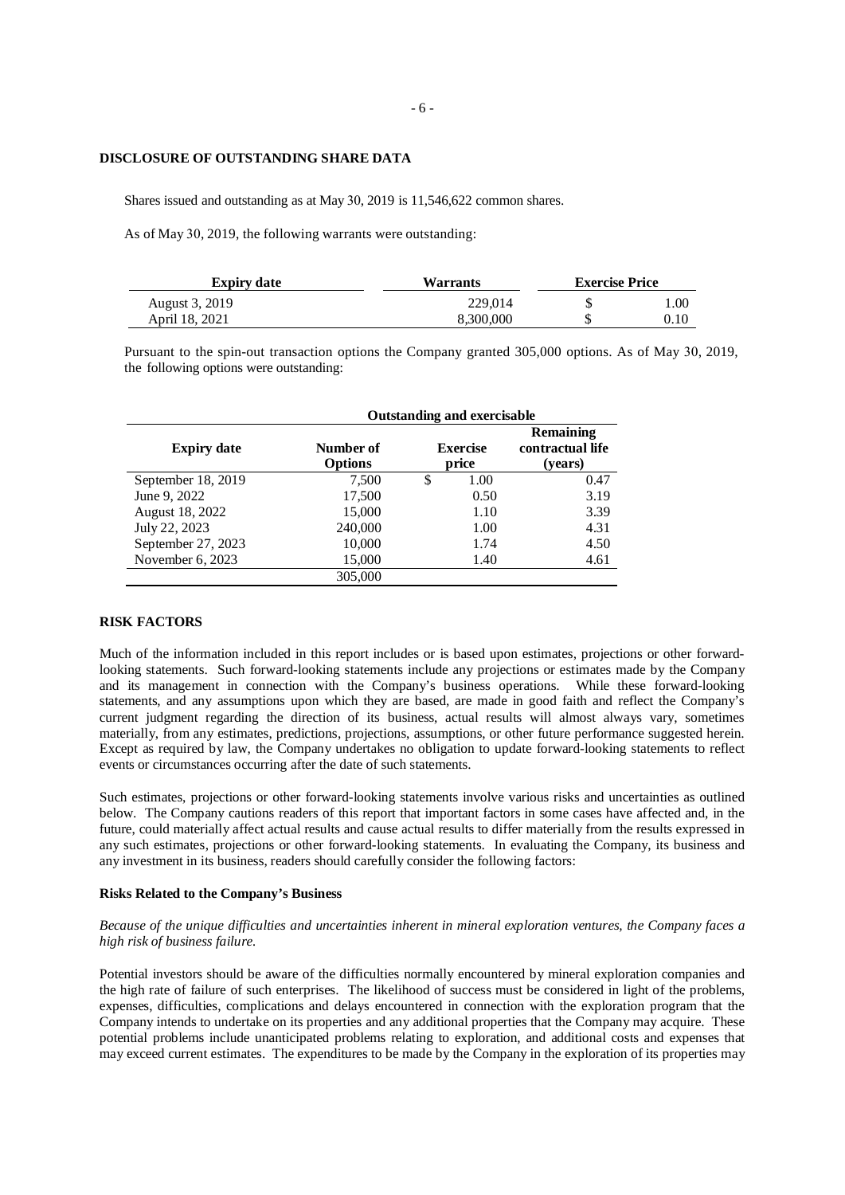### **DISCLOSURE OF OUTSTANDING SHARE DATA**

Shares issued and outstanding as at May 30, 2019 is 11,546,622 common shares.

As of May 30, 2019, the following warrants were outstanding:

| <b>Expiry date</b> | Warrants  | <b>Exercise Price</b> |      |  |
|--------------------|-----------|-----------------------|------|--|
| August 3, 2019     | 229.014   |                       | l.OO |  |
| April 18, 2021     | 8.300.000 |                       | 0.10 |  |

Pursuant to the spin-out transaction options the Company granted 305,000 options. As of May 30, 2019, the following options were outstanding:

|                    | <b>Outstanding and exercisable</b> |   |                          |                                          |  |
|--------------------|------------------------------------|---|--------------------------|------------------------------------------|--|
| <b>Expiry date</b> | Number of<br><b>Options</b>        |   | <b>Exercise</b><br>price | Remaining<br>contractual life<br>(years) |  |
| September 18, 2019 | 7,500                              | S | 1.00                     | 0.47                                     |  |
| June 9, 2022       | 17,500                             |   | 0.50                     | 3.19                                     |  |
| August 18, 2022    | 15,000                             |   | 1.10                     | 3.39                                     |  |
| July 22, 2023      | 240,000                            |   | 1.00                     | 4.31                                     |  |
| September 27, 2023 | 10,000                             |   | 1.74                     | 4.50                                     |  |
| November 6, 2023   | 15,000                             |   | 1.40                     | 4.61                                     |  |
|                    | 305,000                            |   |                          |                                          |  |

# **RISK FACTORS**

Much of the information included in this report includes or is based upon estimates, projections or other forwardlooking statements. Such forward-looking statements include any projections or estimates made by the Company and its management in connection with the Company's business operations. While these forward-looking statements, and any assumptions upon which they are based, are made in good faith and reflect the Company's current judgment regarding the direction of its business, actual results will almost always vary, sometimes materially, from any estimates, predictions, projections, assumptions, or other future performance suggested herein. Except as required by law, the Company undertakes no obligation to update forward-looking statements to reflect events or circumstances occurring after the date of such statements.

Such estimates, projections or other forward-looking statements involve various risks and uncertainties as outlined below. The Company cautions readers of this report that important factors in some cases have affected and, in the future, could materially affect actual results and cause actual results to differ materially from the results expressed in any such estimates, projections or other forward-looking statements. In evaluating the Company, its business and any investment in its business, readers should carefully consider the following factors:

## **Risks Related to the Company's Business**

# *Because of the unique difficulties and uncertainties inherent in mineral exploration ventures, the Company faces a high risk of business failure.*

Potential investors should be aware of the difficulties normally encountered by mineral exploration companies and the high rate of failure of such enterprises. The likelihood of success must be considered in light of the problems, expenses, difficulties, complications and delays encountered in connection with the exploration program that the Company intends to undertake on its properties and any additional properties that the Company may acquire. These potential problems include unanticipated problems relating to exploration, and additional costs and expenses that may exceed current estimates. The expenditures to be made by the Company in the exploration of its properties may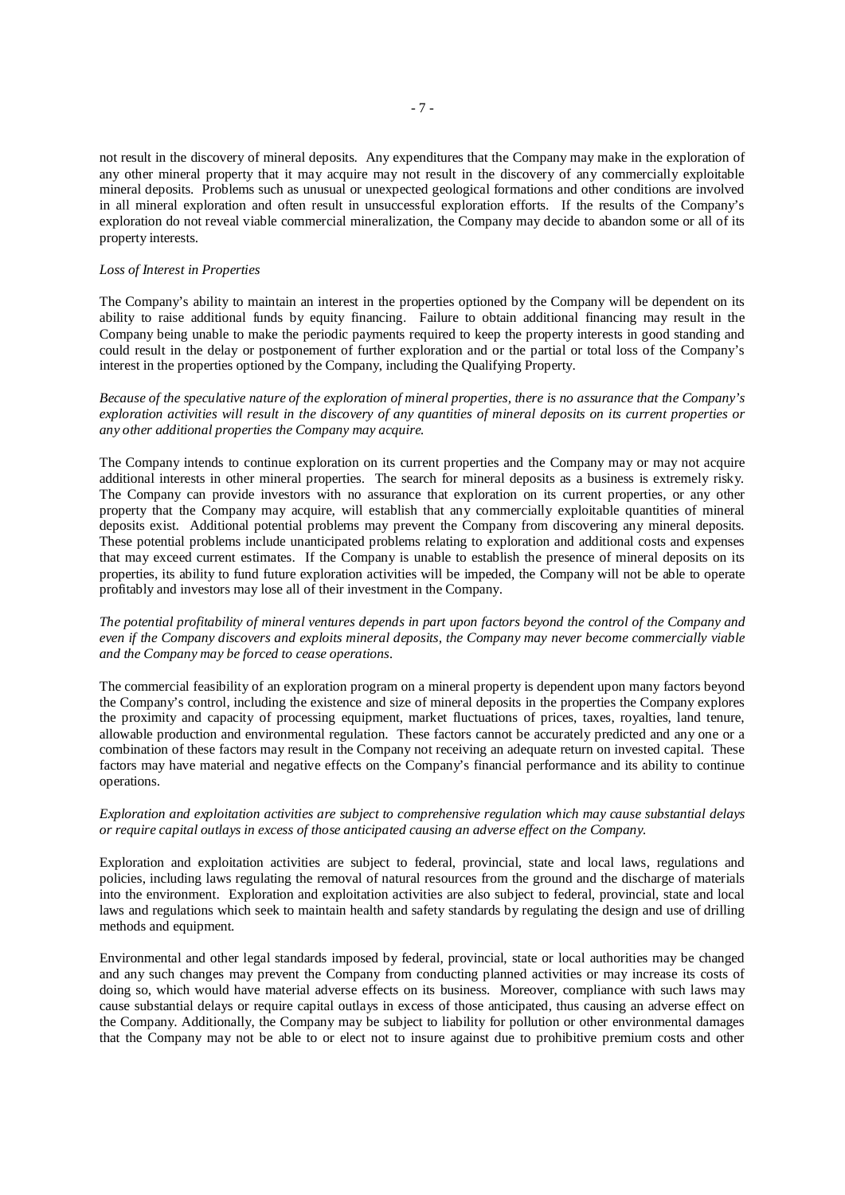not result in the discovery of mineral deposits. Any expenditures that the Company may make in the exploration of any other mineral property that it may acquire may not result in the discovery of any commercially exploitable mineral deposits. Problems such as unusual or unexpected geological formations and other conditions are involved in all mineral exploration and often result in unsuccessful exploration efforts. If the results of the Company's exploration do not reveal viable commercial mineralization, the Company may decide to abandon some or all of its property interests.

#### *Loss of Interest in Properties*

The Company's ability to maintain an interest in the properties optioned by the Company will be dependent on its ability to raise additional funds by equity financing. Failure to obtain additional financing may result in the Company being unable to make the periodic payments required to keep the property interests in good standing and could result in the delay or postponement of further exploration and or the partial or total loss of the Company's interest in the properties optioned by the Company, including the Qualifying Property.

*Because of the speculative nature of the exploration of mineral properties, there is no assurance that the Company's exploration activities will result in the discovery of any quantities of mineral deposits on its current properties or any other additional properties the Company may acquire.*

The Company intends to continue exploration on its current properties and the Company may or may not acquire additional interests in other mineral properties. The search for mineral deposits as a business is extremely risky. The Company can provide investors with no assurance that exploration on its current properties, or any other property that the Company may acquire, will establish that any commercially exploitable quantities of mineral deposits exist. Additional potential problems may prevent the Company from discovering any mineral deposits. These potential problems include unanticipated problems relating to exploration and additional costs and expenses that may exceed current estimates. If the Company is unable to establish the presence of mineral deposits on its properties, its ability to fund future exploration activities will be impeded, the Company will not be able to operate profitably and investors may lose all of their investment in the Company.

*The potential profitability of mineral ventures depends in part upon factors beyond the control of the Company and even if the Company discovers and exploits mineral deposits, the Company may never become commercially viable and the Company may be forced to cease operations.*

The commercial feasibility of an exploration program on a mineral property is dependent upon many factors beyond the Company's control, including the existence and size of mineral deposits in the properties the Company explores the proximity and capacity of processing equipment, market fluctuations of prices, taxes, royalties, land tenure, allowable production and environmental regulation. These factors cannot be accurately predicted and any one or a combination of these factors may result in the Company not receiving an adequate return on invested capital. These factors may have material and negative effects on the Company's financial performance and its ability to continue operations.

# *Exploration and exploitation activities are subject to comprehensive regulation which may cause substantial delays or require capital outlays in excess of those anticipated causing an adverse effect on the Company.*

Exploration and exploitation activities are subject to federal, provincial, state and local laws, regulations and policies, including laws regulating the removal of natural resources from the ground and the discharge of materials into the environment. Exploration and exploitation activities are also subject to federal, provincial, state and local laws and regulations which seek to maintain health and safety standards by regulating the design and use of drilling methods and equipment.

Environmental and other legal standards imposed by federal, provincial, state or local authorities may be changed and any such changes may prevent the Company from conducting planned activities or may increase its costs of doing so, which would have material adverse effects on its business. Moreover, compliance with such laws may cause substantial delays or require capital outlays in excess of those anticipated, thus causing an adverse effect on the Company. Additionally, the Company may be subject to liability for pollution or other environmental damages that the Company may not be able to or elect not to insure against due to prohibitive premium costs and other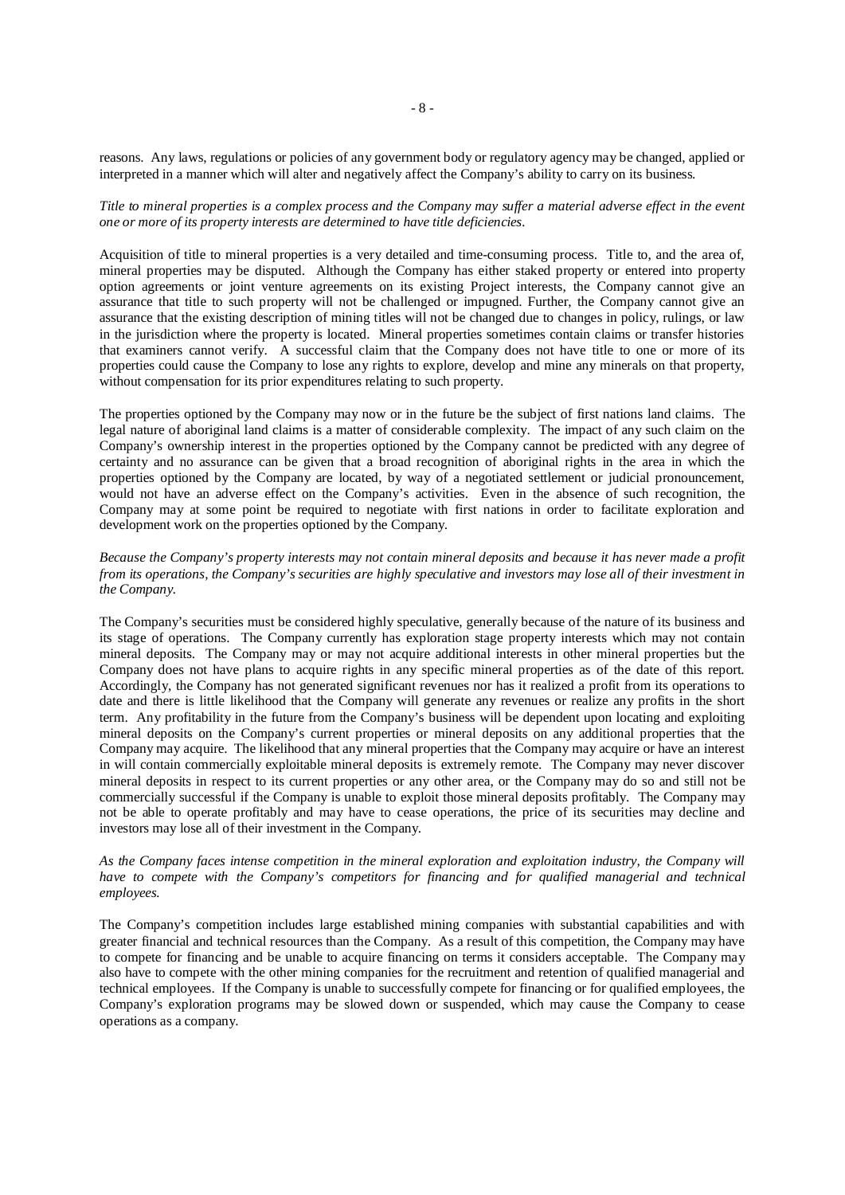reasons. Any laws, regulations or policies of any government body or regulatory agency may be changed, applied or interpreted in a manner which will alter and negatively affect the Company's ability to carry on its business.

*Title to mineral properties is a complex process and the Company may suffer a material adverse effect in the event one or more of its property interests are determined to have title deficiencies.*

Acquisition of title to mineral properties is a very detailed and time-consuming process. Title to, and the area of, mineral properties may be disputed. Although the Company has either staked property or entered into property option agreements or joint venture agreements on its existing Project interests, the Company cannot give an assurance that title to such property will not be challenged or impugned. Further, the Company cannot give an assurance that the existing description of mining titles will not be changed due to changes in policy, rulings, or law in the jurisdiction where the property is located. Mineral properties sometimes contain claims or transfer histories that examiners cannot verify. A successful claim that the Company does not have title to one or more of its properties could cause the Company to lose any rights to explore, develop and mine any minerals on that property, without compensation for its prior expenditures relating to such property.

The properties optioned by the Company may now or in the future be the subject of first nations land claims. The legal nature of aboriginal land claims is a matter of considerable complexity. The impact of any such claim on the Company's ownership interest in the properties optioned by the Company cannot be predicted with any degree of certainty and no assurance can be given that a broad recognition of aboriginal rights in the area in which the properties optioned by the Company are located, by way of a negotiated settlement or judicial pronouncement, would not have an adverse effect on the Company's activities. Even in the absence of such recognition, the Company may at some point be required to negotiate with first nations in order to facilitate exploration and development work on the properties optioned by the Company.

# *Because the Company's property interests may not contain mineral deposits and because it has never made a profit from its operations, the Company's securities are highly speculative and investors may lose all of their investment in the Company.*

The Company's securities must be considered highly speculative, generally because of the nature of its business and its stage of operations. The Company currently has exploration stage property interests which may not contain mineral deposits. The Company may or may not acquire additional interests in other mineral properties but the Company does not have plans to acquire rights in any specific mineral properties as of the date of this report. Accordingly, the Company has not generated significant revenues nor has it realized a profit from its operations to date and there is little likelihood that the Company will generate any revenues or realize any profits in the short term. Any profitability in the future from the Company's business will be dependent upon locating and exploiting mineral deposits on the Company's current properties or mineral deposits on any additional properties that the Company may acquire. The likelihood that any mineral properties that the Company may acquire or have an interest in will contain commercially exploitable mineral deposits is extremely remote. The Company may never discover mineral deposits in respect to its current properties or any other area, or the Company may do so and still not be commercially successful if the Company is unable to exploit those mineral deposits profitably. The Company may not be able to operate profitably and may have to cease operations, the price of its securities may decline and investors may lose all of their investment in the Company.

# *As the Company faces intense competition in the mineral exploration and exploitation industry, the Company will have to compete with the Company's competitors for financing and for qualified managerial and technical employees.*

The Company's competition includes large established mining companies with substantial capabilities and with greater financial and technical resources than the Company. As a result of this competition, the Company may have to compete for financing and be unable to acquire financing on terms it considers acceptable. The Company may also have to compete with the other mining companies for the recruitment and retention of qualified managerial and technical employees. If the Company is unable to successfully compete for financing or for qualified employees, the Company's exploration programs may be slowed down or suspended, which may cause the Company to cease operations as a company.